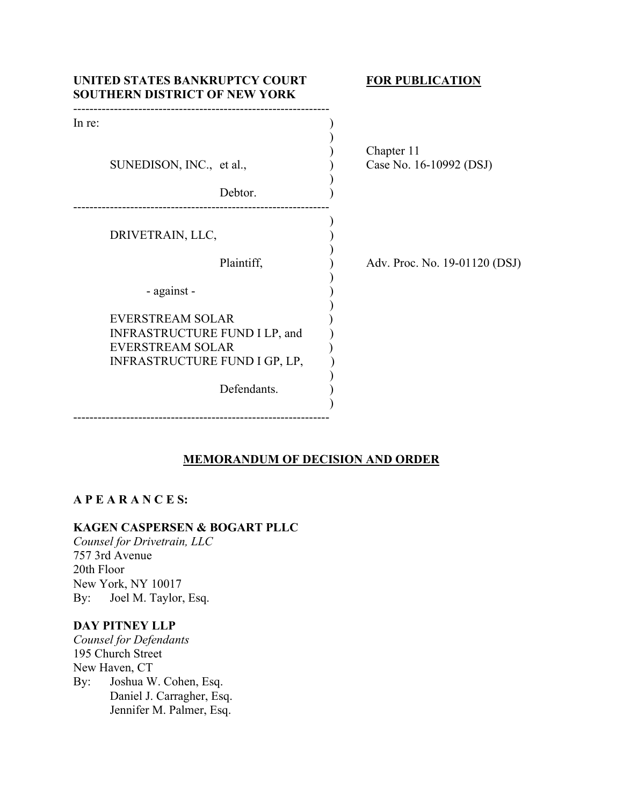| UNITED STATES BANKRUPTCY COURT<br><b>SOUTHERN DISTRICT OF NEW YORK</b>                                               | <b>FOR PUBLICATION</b>        |
|----------------------------------------------------------------------------------------------------------------------|-------------------------------|
| In re:                                                                                                               | Chapter 11                    |
| SUNEDISON, INC., et al.,                                                                                             | Case No. 16-10992 (DSJ)       |
| Debtor.                                                                                                              |                               |
| DRIVETRAIN, LLC,                                                                                                     |                               |
| Plaintiff,                                                                                                           | Adv. Proc. No. 19-01120 (DSJ) |
| - against -                                                                                                          |                               |
| <b>EVERSTREAM SOLAR</b><br>INFRASTRUCTURE FUND I LP, and<br><b>EVERSTREAM SOLAR</b><br>INFRASTRUCTURE FUND I GP, LP, |                               |
| Defendants.                                                                                                          |                               |

# **MEMORANDUM OF DECISION AND ORDER**

# **A P E A R A N C E S:**

### **KAGEN CASPERSEN & BOGART PLLC**

---------------------------------------------------------------

*Counsel for Drivetrain, LLC* 757 3rd Avenue 20th Floor New York, NY 10017 By: Joel M. Taylor, Esq.

# **DAY PITNEY LLP**

*Counsel for Defendants* 195 Church Street New Haven, CT By: Joshua W. Cohen, Esq. Daniel J. Carragher, Esq. Jennifer M. Palmer, Esq.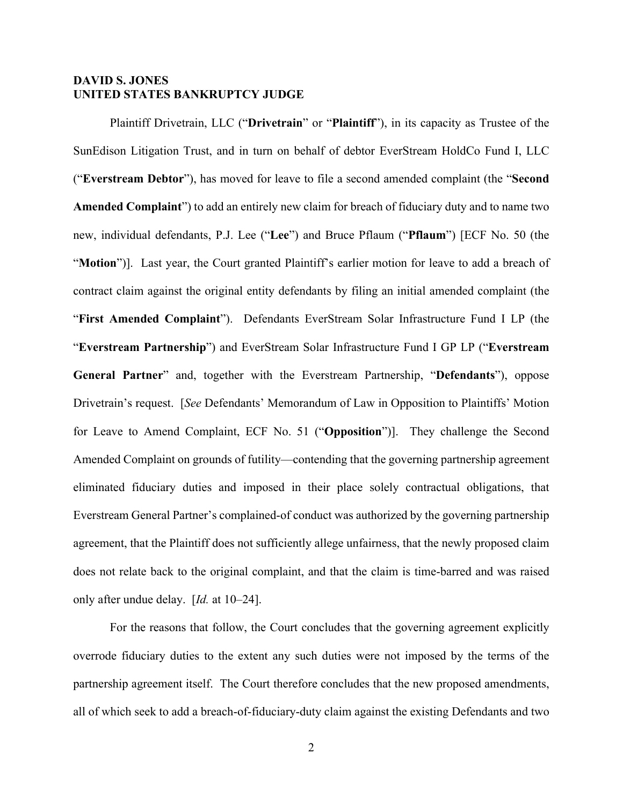### **DAVID S. JONES UNITED STATES BANKRUPTCY JUDGE**

 Plaintiff Drivetrain, LLC ("**Drivetrain**" or "**Plaintiff**"), in its capacity as Trustee of the SunEdison Litigation Trust, and in turn on behalf of debtor EverStream HoldCo Fund I, LLC ("**Everstream Debtor**"), has moved for leave to file a second amended complaint (the "**Second Amended Complaint**") to add an entirely new claim for breach of fiduciary duty and to name two new, individual defendants, P.J. Lee ("**Lee**") and Bruce Pflaum ("**Pflaum**") [ECF No. 50 (the "**Motion**")]. Last year, the Court granted Plaintiff's earlier motion for leave to add a breach of contract claim against the original entity defendants by filing an initial amended complaint (the "**First Amended Complaint**"). Defendants EverStream Solar Infrastructure Fund I LP (the "**Everstream Partnership**") and EverStream Solar Infrastructure Fund I GP LP ("**Everstream General Partner**" and, together with the Everstream Partnership, "**Defendants**"), oppose Drivetrain's request. [*See* Defendants' Memorandum of Law in Opposition to Plaintiffs' Motion for Leave to Amend Complaint, ECF No. 51 ("**Opposition**")]. They challenge the Second Amended Complaint on grounds of futility—contending that the governing partnership agreement eliminated fiduciary duties and imposed in their place solely contractual obligations, that Everstream General Partner's complained-of conduct was authorized by the governing partnership agreement, that the Plaintiff does not sufficiently allege unfairness, that the newly proposed claim does not relate back to the original complaint, and that the claim is time-barred and was raised only after undue delay. [*Id.* at 10–24].

For the reasons that follow, the Court concludes that the governing agreement explicitly overrode fiduciary duties to the extent any such duties were not imposed by the terms of the partnership agreement itself. The Court therefore concludes that the new proposed amendments, all of which seek to add a breach-of-fiduciary-duty claim against the existing Defendants and two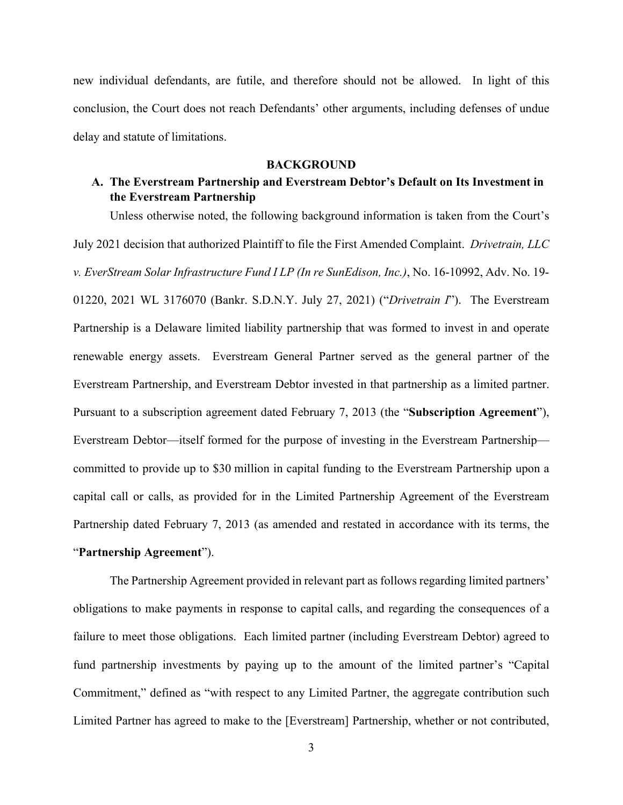new individual defendants, are futile, and therefore should not be allowed. In light of this conclusion, the Court does not reach Defendants' other arguments, including defenses of undue delay and statute of limitations.

### **BACKGROUND**

# **A. The Everstream Partnership and Everstream Debtor's Default on Its Investment in the Everstream Partnership**

Unless otherwise noted, the following background information is taken from the Court's July 2021 decision that authorized Plaintiff to file the First Amended Complaint. *Drivetrain, LLC v. EverStream Solar Infrastructure Fund I LP (In re SunEdison, Inc.)*, No. 16-10992, Adv. No. 19- 01220, 2021 WL 3176070 (Bankr. S.D.N.Y. July 27, 2021) ("*Drivetrain I*"). The Everstream Partnership is a Delaware limited liability partnership that was formed to invest in and operate renewable energy assets. Everstream General Partner served as the general partner of the Everstream Partnership, and Everstream Debtor invested in that partnership as a limited partner. Pursuant to a subscription agreement dated February 7, 2013 (the "**Subscription Agreement**"), Everstream Debtor—itself formed for the purpose of investing in the Everstream Partnership committed to provide up to \$30 million in capital funding to the Everstream Partnership upon a capital call or calls, as provided for in the Limited Partnership Agreement of the Everstream Partnership dated February 7, 2013 (as amended and restated in accordance with its terms, the "**Partnership Agreement**").

The Partnership Agreement provided in relevant part as follows regarding limited partners' obligations to make payments in response to capital calls, and regarding the consequences of a failure to meet those obligations. Each limited partner (including Everstream Debtor) agreed to fund partnership investments by paying up to the amount of the limited partner's "Capital Commitment," defined as "with respect to any Limited Partner, the aggregate contribution such Limited Partner has agreed to make to the [Everstream] Partnership, whether or not contributed,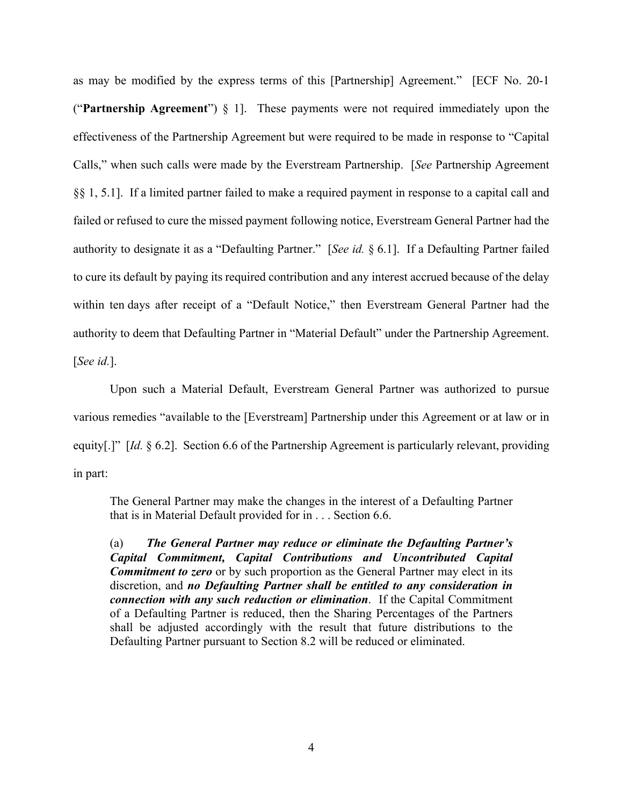as may be modified by the express terms of this [Partnership] Agreement." [ECF No. 20-1 ("**Partnership Agreement**") § 1]. These payments were not required immediately upon the effectiveness of the Partnership Agreement but were required to be made in response to "Capital Calls," when such calls were made by the Everstream Partnership. [*See* Partnership Agreement §§ 1, 5.1]. If a limited partner failed to make a required payment in response to a capital call and failed or refused to cure the missed payment following notice, Everstream General Partner had the authority to designate it as a "Defaulting Partner." [*See id.* § 6.1]. If a Defaulting Partner failed to cure its default by paying its required contribution and any interest accrued because of the delay within ten days after receipt of a "Default Notice," then Everstream General Partner had the authority to deem that Defaulting Partner in "Material Default" under the Partnership Agreement. [*See id.*].

Upon such a Material Default, Everstream General Partner was authorized to pursue various remedies "available to the [Everstream] Partnership under this Agreement or at law or in equity[.]" [*Id.* § 6.2]. Section 6.6 of the Partnership Agreement is particularly relevant, providing in part:

The General Partner may make the changes in the interest of a Defaulting Partner that is in Material Default provided for in . . . Section 6.6.

(a) *The General Partner may reduce or eliminate the Defaulting Partner's Capital Commitment, Capital Contributions and Uncontributed Capital Commitment to zero* or by such proportion as the General Partner may elect in its discretion, and *no Defaulting Partner shall be entitled to any consideration in connection with any such reduction or elimination*. If the Capital Commitment of a Defaulting Partner is reduced, then the Sharing Percentages of the Partners shall be adjusted accordingly with the result that future distributions to the Defaulting Partner pursuant to Section 8.2 will be reduced or eliminated.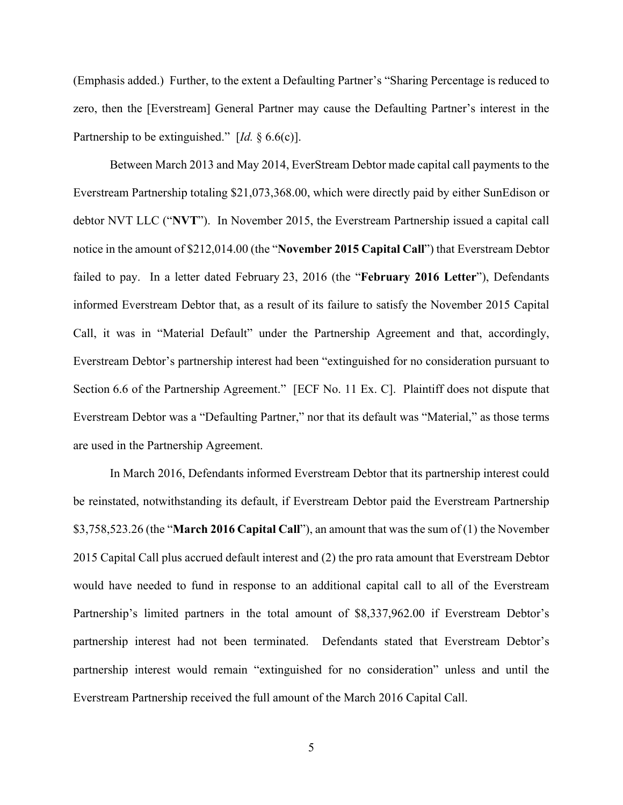(Emphasis added.) Further, to the extent a Defaulting Partner's "Sharing Percentage is reduced to zero, then the [Everstream] General Partner may cause the Defaulting Partner's interest in the Partnership to be extinguished." [*Id.* § 6.6(c)].

Between March 2013 and May 2014, EverStream Debtor made capital call payments to the Everstream Partnership totaling \$21,073,368.00, which were directly paid by either SunEdison or debtor NVT LLC ("**NVT**"). In November 2015, the Everstream Partnership issued a capital call notice in the amount of \$212,014.00 (the "**November 2015 Capital Call**") that Everstream Debtor failed to pay. In a letter dated February 23, 2016 (the "**February 2016 Letter**"), Defendants informed Everstream Debtor that, as a result of its failure to satisfy the November 2015 Capital Call, it was in "Material Default" under the Partnership Agreement and that, accordingly, Everstream Debtor's partnership interest had been "extinguished for no consideration pursuant to Section 6.6 of the Partnership Agreement." [ECF No. 11 Ex. C]. Plaintiff does not dispute that Everstream Debtor was a "Defaulting Partner," nor that its default was "Material," as those terms are used in the Partnership Agreement.

In March 2016, Defendants informed Everstream Debtor that its partnership interest could be reinstated, notwithstanding its default, if Everstream Debtor paid the Everstream Partnership \$3,758,523.26 (the "**March 2016 Capital Call**"), an amount that was the sum of (1) the November 2015 Capital Call plus accrued default interest and (2) the pro rata amount that Everstream Debtor would have needed to fund in response to an additional capital call to all of the Everstream Partnership's limited partners in the total amount of \$8,337,962.00 if Everstream Debtor's partnership interest had not been terminated. Defendants stated that Everstream Debtor's partnership interest would remain "extinguished for no consideration" unless and until the Everstream Partnership received the full amount of the March 2016 Capital Call.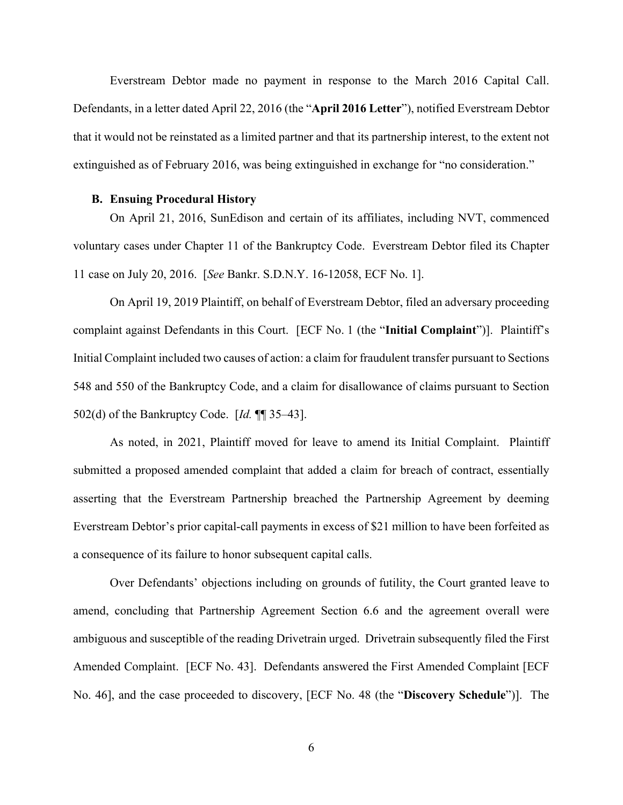Everstream Debtor made no payment in response to the March 2016 Capital Call. Defendants, in a letter dated April 22, 2016 (the "**April 2016 Letter**"), notified Everstream Debtor that it would not be reinstated as a limited partner and that its partnership interest, to the extent not extinguished as of February 2016, was being extinguished in exchange for "no consideration."

#### **B. Ensuing Procedural History**

On April 21, 2016, SunEdison and certain of its affiliates, including NVT, commenced voluntary cases under Chapter 11 of the Bankruptcy Code. Everstream Debtor filed its Chapter 11 case on July 20, 2016. [*See* Bankr. S.D.N.Y. 16-12058, ECF No. 1].

On April 19, 2019 Plaintiff, on behalf of Everstream Debtor, filed an adversary proceeding complaint against Defendants in this Court. [ECF No. 1 (the "**Initial Complaint**")]. Plaintiff's Initial Complaint included two causes of action: a claim for fraudulent transfer pursuant to Sections 548 and 550 of the Bankruptcy Code, and a claim for disallowance of claims pursuant to Section 502(d) of the Bankruptcy Code. [*Id.* ¶¶ 35–43].

As noted, in 2021, Plaintiff moved for leave to amend its Initial Complaint. Plaintiff submitted a proposed amended complaint that added a claim for breach of contract, essentially asserting that the Everstream Partnership breached the Partnership Agreement by deeming Everstream Debtor's prior capital-call payments in excess of \$21 million to have been forfeited as a consequence of its failure to honor subsequent capital calls.

Over Defendants' objections including on grounds of futility, the Court granted leave to amend, concluding that Partnership Agreement Section 6.6 and the agreement overall were ambiguous and susceptible of the reading Drivetrain urged. Drivetrain subsequently filed the First Amended Complaint. [ECF No. 43]. Defendants answered the First Amended Complaint [ECF No. 46], and the case proceeded to discovery, [ECF No. 48 (the "**Discovery Schedule**")]. The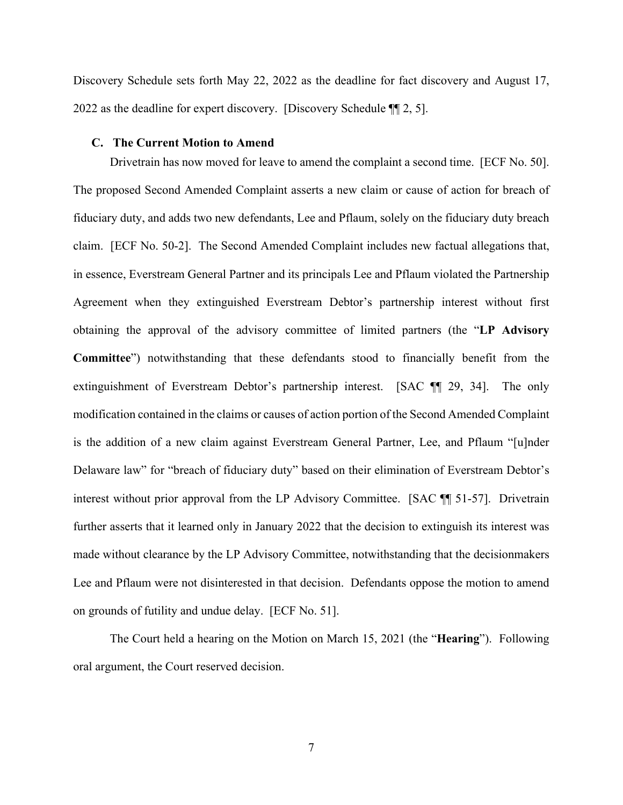Discovery Schedule sets forth May 22, 2022 as the deadline for fact discovery and August 17, 2022 as the deadline for expert discovery. [Discovery Schedule ¶¶ 2, 5].

#### **C. The Current Motion to Amend**

Drivetrain has now moved for leave to amend the complaint a second time. [ECF No. 50]. The proposed Second Amended Complaint asserts a new claim or cause of action for breach of fiduciary duty, and adds two new defendants, Lee and Pflaum, solely on the fiduciary duty breach claim. [ECF No. 50-2]. The Second Amended Complaint includes new factual allegations that, in essence, Everstream General Partner and its principals Lee and Pflaum violated the Partnership Agreement when they extinguished Everstream Debtor's partnership interest without first obtaining the approval of the advisory committee of limited partners (the "**LP Advisory Committee**") notwithstanding that these defendants stood to financially benefit from the extinguishment of Everstream Debtor's partnership interest. [SAC ¶¶ 29, 34]. The only modification contained in the claims or causes of action portion of the Second Amended Complaint is the addition of a new claim against Everstream General Partner, Lee, and Pflaum "[u]nder Delaware law" for "breach of fiduciary duty" based on their elimination of Everstream Debtor's interest without prior approval from the LP Advisory Committee. [SAC ¶¶ 51-57]. Drivetrain further asserts that it learned only in January 2022 that the decision to extinguish its interest was made without clearance by the LP Advisory Committee, notwithstanding that the decisionmakers Lee and Pflaum were not disinterested in that decision. Defendants oppose the motion to amend on grounds of futility and undue delay. [ECF No. 51].

The Court held a hearing on the Motion on March 15, 2021 (the "**Hearing**"). Following oral argument, the Court reserved decision.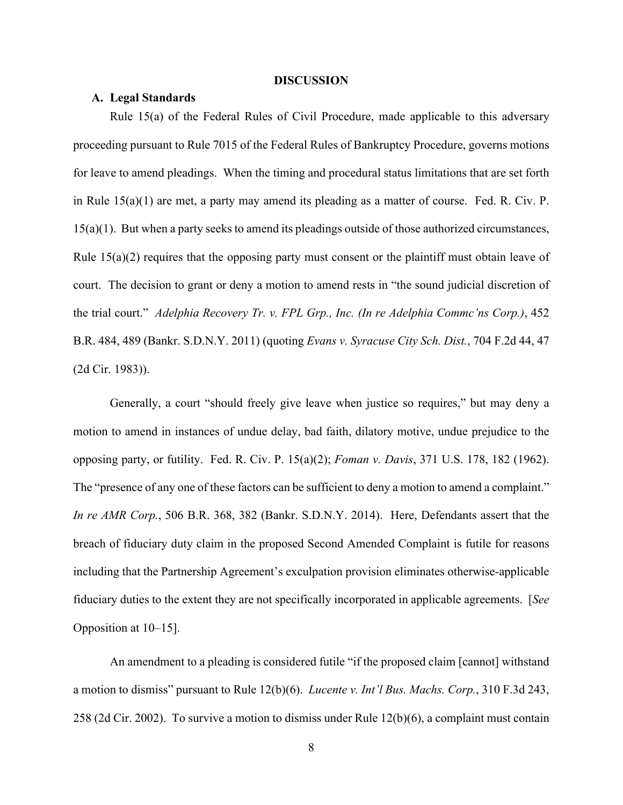#### **DISCUSSION**

### **A. Legal Standards**

Rule 15(a) of the Federal Rules of Civil Procedure, made applicable to this adversary proceeding pursuant to Rule 7015 of the Federal Rules of Bankruptcy Procedure, governs motions for leave to amend pleadings. When the timing and procedural status limitations that are set forth in Rule 15(a)(1) are met, a party may amend its pleading as a matter of course. Fed. R. Civ. P. 15(a)(1). But when a party seeks to amend its pleadings outside of those authorized circumstances, Rule 15(a)(2) requires that the opposing party must consent or the plaintiff must obtain leave of court. The decision to grant or deny a motion to amend rests in "the sound judicial discretion of the trial court." *Adelphia Recovery Tr. v. FPL Grp., Inc. (In re Adelphia Commc'ns Corp.)*, 452 B.R. 484, 489 (Bankr. S.D.N.Y. 2011) (quoting *Evans v. Syracuse City Sch. Dist.*, 704 F.2d 44, 47 (2d Cir. 1983)).

Generally, a court "should freely give leave when justice so requires," but may deny a motion to amend in instances of undue delay, bad faith, dilatory motive, undue prejudice to the opposing party, or futility. Fed. R. Civ. P. 15(a)(2); *Foman v. Davis*, 371 U.S. 178, 182 (1962). The "presence of any one of these factors can be sufficient to deny a motion to amend a complaint." *In re AMR Corp.*, 506 B.R. 368, 382 (Bankr. S.D.N.Y. 2014). Here, Defendants assert that the breach of fiduciary duty claim in the proposed Second Amended Complaint is futile for reasons including that the Partnership Agreement's exculpation provision eliminates otherwise-applicable fiduciary duties to the extent they are not specifically incorporated in applicable agreements. [*See*  Opposition at 10–15].

An amendment to a pleading is considered futile "if the proposed claim [cannot] withstand a motion to dismiss" pursuant to Rule 12(b)(6). *Lucente v. Int'l Bus. Machs. Corp.*, 310 F.3d 243, 258 (2d Cir. 2002). To survive a motion to dismiss under Rule 12(b)(6), a complaint must contain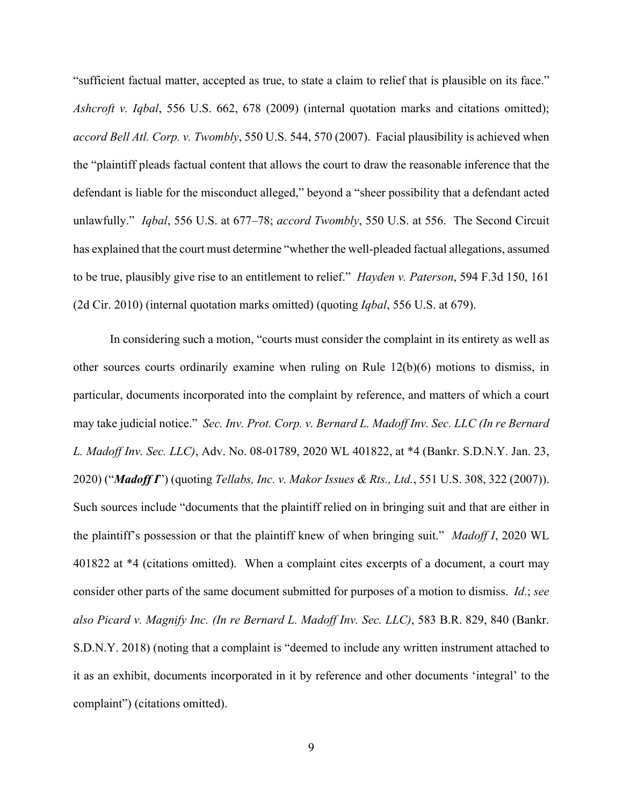"sufficient factual matter, accepted as true, to state a claim to relief that is plausible on its face." *Ashcroft v. Iqbal*, 556 U.S. 662, 678 (2009) (internal quotation marks and citations omitted); *accord Bell Atl. Corp. v. Twombly*, 550 U.S. 544, 570 (2007). Facial plausibility is achieved when the "plaintiff pleads factual content that allows the court to draw the reasonable inference that the defendant is liable for the misconduct alleged," beyond a "sheer possibility that a defendant acted unlawfully." *Iqbal*, 556 U.S. at 677–78; *accord Twombly*, 550 U.S. at 556. The Second Circuit has explained that the court must determine "whether the well-pleaded factual allegations, assumed to be true, plausibly give rise to an entitlement to relief." *Hayden v. Paterson*, 594 F.3d 150, 161 (2d Cir. 2010) (internal quotation marks omitted) (quoting *Iqbal*, 556 U.S. at 679).

In considering such a motion, "courts must consider the complaint in its entirety as well as other sources courts ordinarily examine when ruling on Rule 12(b)(6) motions to dismiss, in particular, documents incorporated into the complaint by reference, and matters of which a court may take judicial notice." *Sec. Inv. Prot. Corp. v. Bernard L. Madoff Inv. Sec. LLC (In re Bernard L. Madoff Inv. Sec. LLC)*, Adv. No. 08-01789, 2020 WL 401822, at \*4 (Bankr. S.D.N.Y. Jan. 23, 2020) ("*Madoff I*") (quoting *Tellabs, Inc. v. Makor Issues & Rts., Ltd.*, 551 U.S. 308, 322 (2007)). Such sources include "documents that the plaintiff relied on in bringing suit and that are either in the plaintiff's possession or that the plaintiff knew of when bringing suit." *Madoff I*, 2020 WL 401822 at \*4 (citations omitted). When a complaint cites excerpts of a document, a court may consider other parts of the same document submitted for purposes of a motion to dismiss. *Id.*; *see also Picard v. Magnify Inc. (In re Bernard L. Madoff Inv. Sec. LLC)*, 583 B.R. 829, 840 (Bankr. S.D.N.Y. 2018) (noting that a complaint is "deemed to include any written instrument attached to it as an exhibit, documents incorporated in it by reference and other documents 'integral' to the complaint") (citations omitted).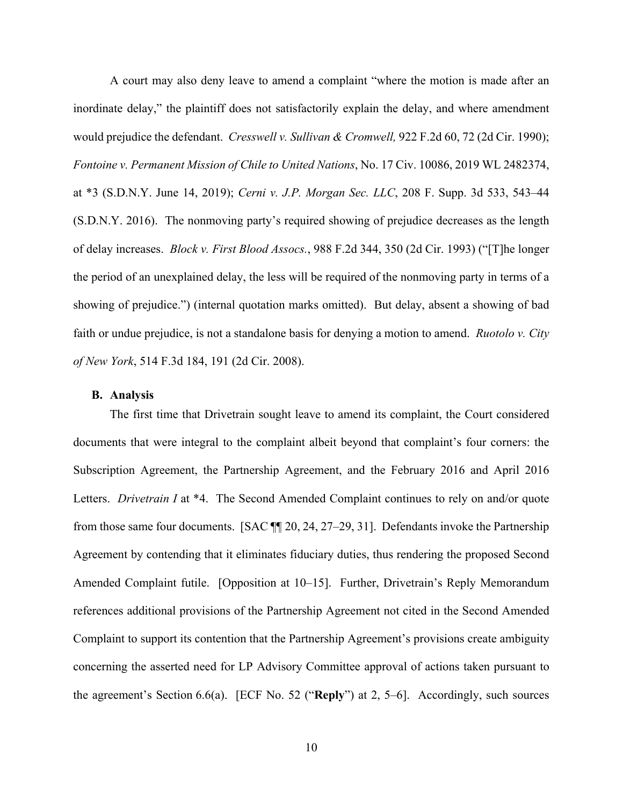A court may also deny leave to amend a complaint "where the motion is made after an inordinate delay," the plaintiff does not satisfactorily explain the delay, and where amendment would prejudice the defendant. *Cresswell v. Sullivan & Cromwell,* 922 F.2d 60, 72 (2d Cir. 1990); *Fontoine v. Permanent Mission of Chile to United Nations*, No. 17 Civ. 10086, 2019 WL 2482374, at \*3 (S.D.N.Y. June 14, 2019); *Cerni v. J.P. Morgan Sec. LLC*, 208 F. Supp. 3d 533, 543–44 (S.D.N.Y. 2016). The nonmoving party's required showing of prejudice decreases as the length of delay increases. *Block v. First Blood Assocs.*, 988 F.2d 344, 350 (2d Cir. 1993) ("[T]he longer the period of an unexplained delay, the less will be required of the nonmoving party in terms of a showing of prejudice.") (internal quotation marks omitted). But delay, absent a showing of bad faith or undue prejudice, is not a standalone basis for denying a motion to amend. *Ruotolo v. City of New York*, 514 F.3d 184, 191 (2d Cir. 2008).

#### **B. Analysis**

The first time that Drivetrain sought leave to amend its complaint, the Court considered documents that were integral to the complaint albeit beyond that complaint's four corners: the Subscription Agreement, the Partnership Agreement, and the February 2016 and April 2016 Letters. *Drivetrain I* at \*4. The Second Amended Complaint continues to rely on and/or quote from those same four documents. [SAC ¶¶ 20, 24, 27–29, 31]. Defendants invoke the Partnership Agreement by contending that it eliminates fiduciary duties, thus rendering the proposed Second Amended Complaint futile. [Opposition at 10–15]. Further, Drivetrain's Reply Memorandum references additional provisions of the Partnership Agreement not cited in the Second Amended Complaint to support its contention that the Partnership Agreement's provisions create ambiguity concerning the asserted need for LP Advisory Committee approval of actions taken pursuant to the agreement's Section 6.6(a). [ECF No. 52 ("**Reply**") at 2, 5–6]. Accordingly, such sources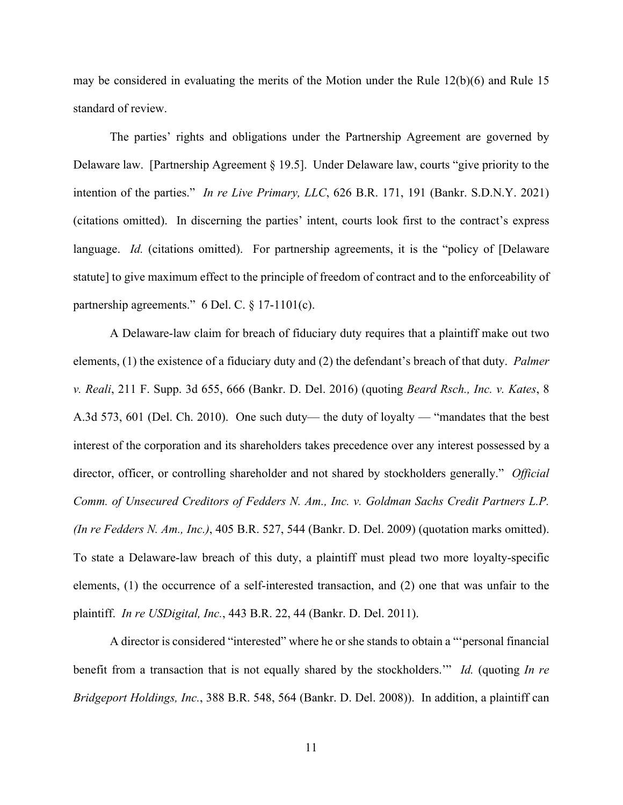may be considered in evaluating the merits of the Motion under the Rule 12(b)(6) and Rule 15 standard of review.

The parties' rights and obligations under the Partnership Agreement are governed by Delaware law. [Partnership Agreement § 19.5]. Under Delaware law, courts "give priority to the intention of the parties." *In re Live Primary, LLC*, 626 B.R. 171, 191 (Bankr. S.D.N.Y. 2021) (citations omitted). In discerning the parties' intent, courts look first to the contract's express language. *Id.* (citations omitted). For partnership agreements, it is the "policy of [Delaware statute] to give maximum effect to the principle of freedom of contract and to the enforceability of partnership agreements." 6 Del. C. § 17-1101(c).

A Delaware-law claim for breach of fiduciary duty requires that a plaintiff make out two elements, (1) the existence of a fiduciary duty and (2) the defendant's breach of that duty. *Palmer v. Reali*, 211 F. Supp. 3d 655, 666 (Bankr. D. Del. 2016) (quoting *Beard Rsch., Inc. v. Kates*, 8 A.3d 573, 601 (Del. Ch. 2010). One such duty— the duty of loyalty — "mandates that the best interest of the corporation and its shareholders takes precedence over any interest possessed by a director, officer, or controlling shareholder and not shared by stockholders generally." *Official Comm. of Unsecured Creditors of Fedders N. Am., Inc. v. Goldman Sachs Credit Partners L.P. (In re Fedders N. Am., Inc.)*, 405 B.R. 527, 544 (Bankr. D. Del. 2009) (quotation marks omitted). To state a Delaware-law breach of this duty, a plaintiff must plead two more loyalty-specific elements, (1) the occurrence of a self-interested transaction, and (2) one that was unfair to the plaintiff. *In re USDigital, Inc.*, 443 B.R. 22, 44 (Bankr. D. Del. 2011).

A director is considered "interested" where he or she stands to obtain a "'personal financial benefit from a transaction that is not equally shared by the stockholders.'" *Id.* (quoting *In re Bridgeport Holdings, Inc.*, 388 B.R. 548, 564 (Bankr. D. Del. 2008)). In addition, a plaintiff can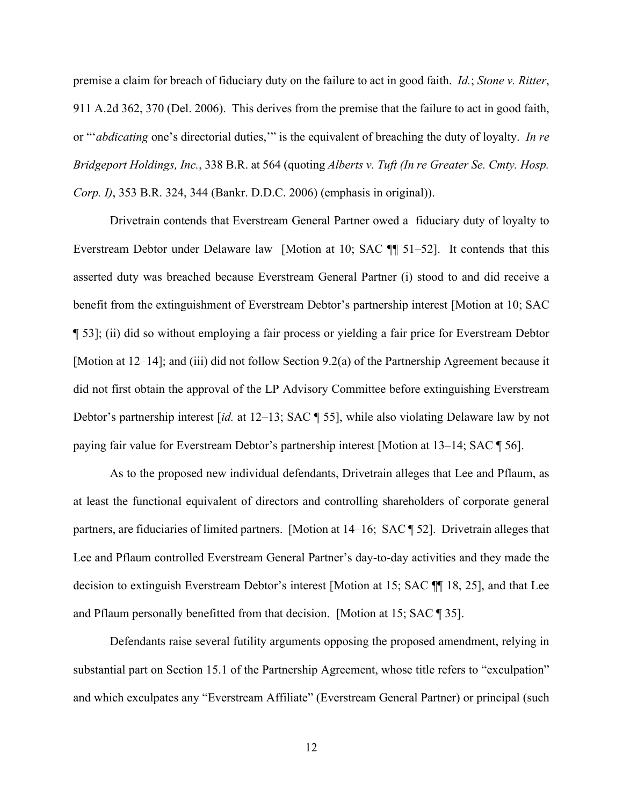premise a claim for breach of fiduciary duty on the failure to act in good faith. *Id.*; *Stone v. Ritter*, 911 A.2d 362, 370 (Del. 2006). This derives from the premise that the failure to act in good faith, or "'*abdicating* one's directorial duties,'" is the equivalent of breaching the duty of loyalty. *In re Bridgeport Holdings, Inc.*, 338 B.R. at 564 (quoting *Alberts v. Tuft (In re Greater Se. Cmty. Hosp. Corp. I)*, 353 B.R. 324, 344 (Bankr. D.D.C. 2006) (emphasis in original)).

Drivetrain contends that Everstream General Partner owed a fiduciary duty of loyalty to Everstream Debtor under Delaware law [Motion at 10; SAC ¶¶ 51–52]. It contends that this asserted duty was breached because Everstream General Partner (i) stood to and did receive a benefit from the extinguishment of Everstream Debtor's partnership interest [Motion at 10; SAC ¶ 53]; (ii) did so without employing a fair process or yielding a fair price for Everstream Debtor [Motion at 12–14]; and (iii) did not follow Section 9.2(a) of the Partnership Agreement because it did not first obtain the approval of the LP Advisory Committee before extinguishing Everstream Debtor's partnership interest [*id.* at 12–13; SAC ¶ 55], while also violating Delaware law by not paying fair value for Everstream Debtor's partnership interest [Motion at 13–14; SAC ¶ 56].

As to the proposed new individual defendants, Drivetrain alleges that Lee and Pflaum, as at least the functional equivalent of directors and controlling shareholders of corporate general partners, are fiduciaries of limited partners. [Motion at 14–16; SAC ¶ 52]. Drivetrain alleges that Lee and Pflaum controlled Everstream General Partner's day-to-day activities and they made the decision to extinguish Everstream Debtor's interest [Motion at 15; SAC ¶¶ 18, 25], and that Lee and Pflaum personally benefitted from that decision. [Motion at 15; SAC ¶ 35].

Defendants raise several futility arguments opposing the proposed amendment, relying in substantial part on Section 15.1 of the Partnership Agreement, whose title refers to "exculpation" and which exculpates any "Everstream Affiliate" (Everstream General Partner) or principal (such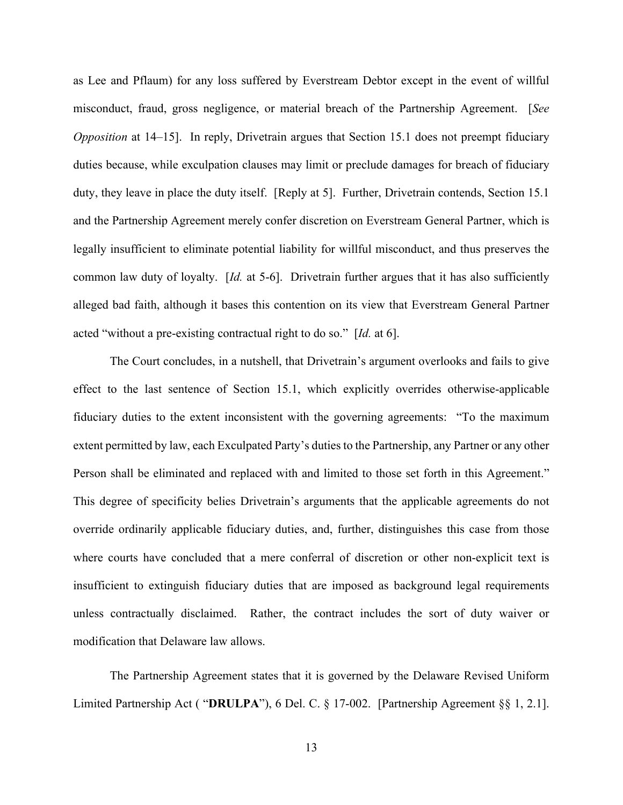as Lee and Pflaum) for any loss suffered by Everstream Debtor except in the event of willful misconduct, fraud, gross negligence, or material breach of the Partnership Agreement. [*See Opposition* at 14–15]. In reply, Drivetrain argues that Section 15.1 does not preempt fiduciary duties because, while exculpation clauses may limit or preclude damages for breach of fiduciary duty, they leave in place the duty itself. [Reply at 5]. Further, Drivetrain contends, Section 15.1 and the Partnership Agreement merely confer discretion on Everstream General Partner, which is legally insufficient to eliminate potential liability for willful misconduct, and thus preserves the common law duty of loyalty. [*Id.* at 5-6]. Drivetrain further argues that it has also sufficiently alleged bad faith, although it bases this contention on its view that Everstream General Partner acted "without a pre-existing contractual right to do so." [*Id.* at 6].

 The Court concludes, in a nutshell, that Drivetrain's argument overlooks and fails to give effect to the last sentence of Section 15.1, which explicitly overrides otherwise-applicable fiduciary duties to the extent inconsistent with the governing agreements: "To the maximum extent permitted by law, each Exculpated Party's duties to the Partnership, any Partner or any other Person shall be eliminated and replaced with and limited to those set forth in this Agreement." This degree of specificity belies Drivetrain's arguments that the applicable agreements do not override ordinarily applicable fiduciary duties, and, further, distinguishes this case from those where courts have concluded that a mere conferral of discretion or other non-explicit text is insufficient to extinguish fiduciary duties that are imposed as background legal requirements unless contractually disclaimed. Rather, the contract includes the sort of duty waiver or modification that Delaware law allows.

The Partnership Agreement states that it is governed by the Delaware Revised Uniform Limited Partnership Act ( "**DRULPA**"), 6 Del. C. § 17-002. [Partnership Agreement §§ 1, 2.1].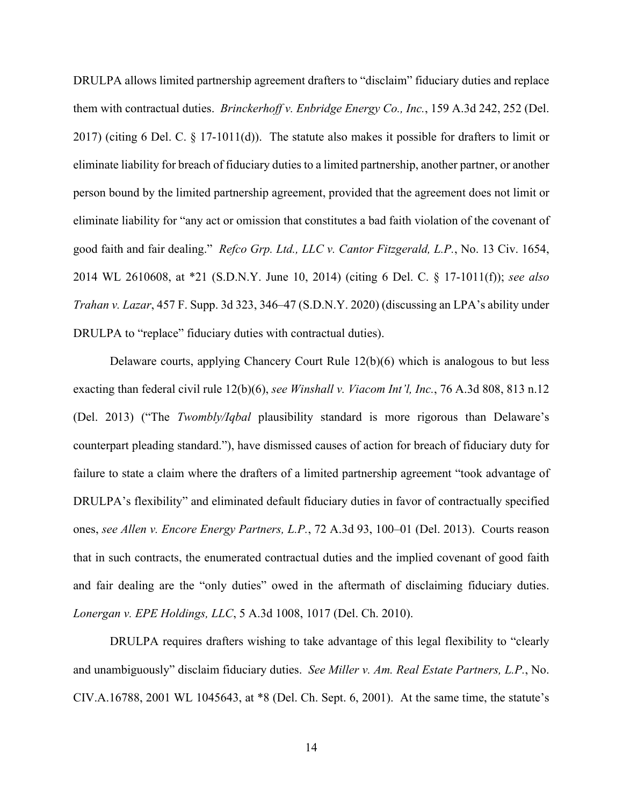DRULPA allows limited partnership agreement drafters to "disclaim" fiduciary duties and replace them with contractual duties. *Brinckerhoff v. Enbridge Energy Co., Inc.*, 159 A.3d 242, 252 (Del. 2017) (citing 6 Del. C. § 17-1011(d)). The statute also makes it possible for drafters to limit or eliminate liability for breach of fiduciary duties to a limited partnership, another partner, or another person bound by the limited partnership agreement, provided that the agreement does not limit or eliminate liability for "any act or omission that constitutes a bad faith violation of the covenant of good faith and fair dealing." *Refco Grp. Ltd., LLC v. Cantor Fitzgerald, L.P.*, No. 13 Civ. 1654, 2014 WL 2610608, at \*21 (S.D.N.Y. June 10, 2014) (citing 6 Del. C. § 17-1011(f)); *see also Trahan v. Lazar*, 457 F. Supp. 3d 323, 346–47 (S.D.N.Y. 2020) (discussing an LPA's ability under DRULPA to "replace" fiduciary duties with contractual duties).

Delaware courts, applying Chancery Court Rule 12(b)(6) which is analogous to but less exacting than federal civil rule 12(b)(6), *see Winshall v. Viacom Int'l, Inc.*, 76 A.3d 808, 813 n.12 (Del. 2013) ("The *Twombly/Iqbal* plausibility standard is more rigorous than Delaware's counterpart pleading standard."), have dismissed causes of action for breach of fiduciary duty for failure to state a claim where the drafters of a limited partnership agreement "took advantage of DRULPA's flexibility" and eliminated default fiduciary duties in favor of contractually specified ones, *see Allen v. Encore Energy Partners, L.P.*, 72 A.3d 93, 100–01 (Del. 2013). Courts reason that in such contracts, the enumerated contractual duties and the implied covenant of good faith and fair dealing are the "only duties" owed in the aftermath of disclaiming fiduciary duties. *Lonergan v. EPE Holdings, LLC*, 5 A.3d 1008, 1017 (Del. Ch. 2010).

DRULPA requires drafters wishing to take advantage of this legal flexibility to "clearly and unambiguously" disclaim fiduciary duties. *See Miller v. Am. Real Estate Partners, L.P.*, No. CIV.A.16788, 2001 WL 1045643, at \*8 (Del. Ch. Sept. 6, 2001). At the same time, the statute's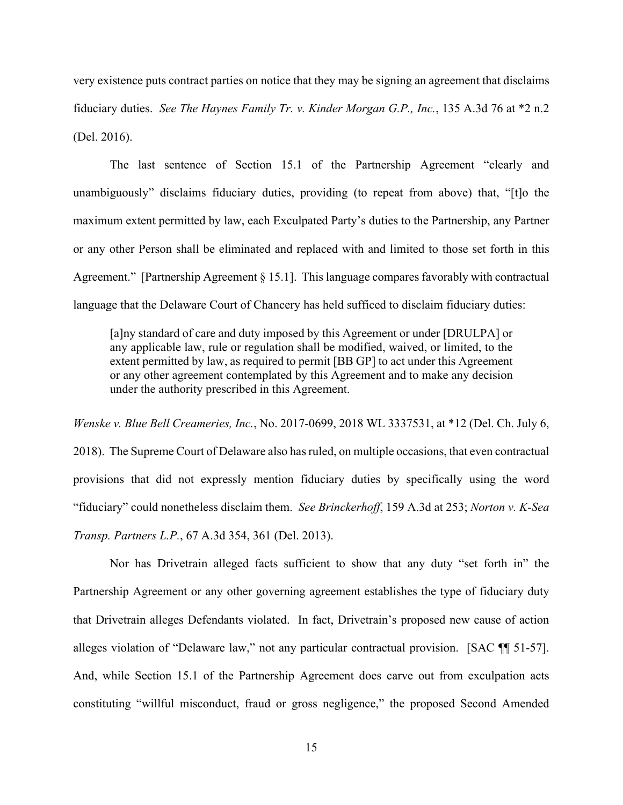very existence puts contract parties on notice that they may be signing an agreement that disclaims fiduciary duties. *See The Haynes Family Tr. v. Kinder Morgan G.P., Inc.*, 135 A.3d 76 at \*2 n.2 (Del. 2016).

The last sentence of Section 15.1 of the Partnership Agreement "clearly and unambiguously" disclaims fiduciary duties, providing (to repeat from above) that, "[t]o the maximum extent permitted by law, each Exculpated Party's duties to the Partnership, any Partner or any other Person shall be eliminated and replaced with and limited to those set forth in this Agreement." [Partnership Agreement § 15.1]. This language compares favorably with contractual language that the Delaware Court of Chancery has held sufficed to disclaim fiduciary duties:

[a]ny standard of care and duty imposed by this Agreement or under [DRULPA] or any applicable law, rule or regulation shall be modified, waived, or limited, to the extent permitted by law, as required to permit [BB GP] to act under this Agreement or any other agreement contemplated by this Agreement and to make any decision under the authority prescribed in this Agreement.

*Wenske v. Blue Bell Creameries, Inc.*, No. 2017-0699, 2018 WL 3337531, at \*12 (Del. Ch. July 6,

2018). The Supreme Court of Delaware also has ruled, on multiple occasions, that even contractual provisions that did not expressly mention fiduciary duties by specifically using the word "fiduciary" could nonetheless disclaim them. *See Brinckerhoff*, 159 A.3d at 253; *Norton v. K-Sea Transp. Partners L.P.*, 67 A.3d 354, 361 (Del. 2013).

 Nor has Drivetrain alleged facts sufficient to show that any duty "set forth in" the Partnership Agreement or any other governing agreement establishes the type of fiduciary duty that Drivetrain alleges Defendants violated. In fact, Drivetrain's proposed new cause of action alleges violation of "Delaware law," not any particular contractual provision. [SAC ¶¶ 51-57]. And, while Section 15.1 of the Partnership Agreement does carve out from exculpation acts constituting "willful misconduct, fraud or gross negligence," the proposed Second Amended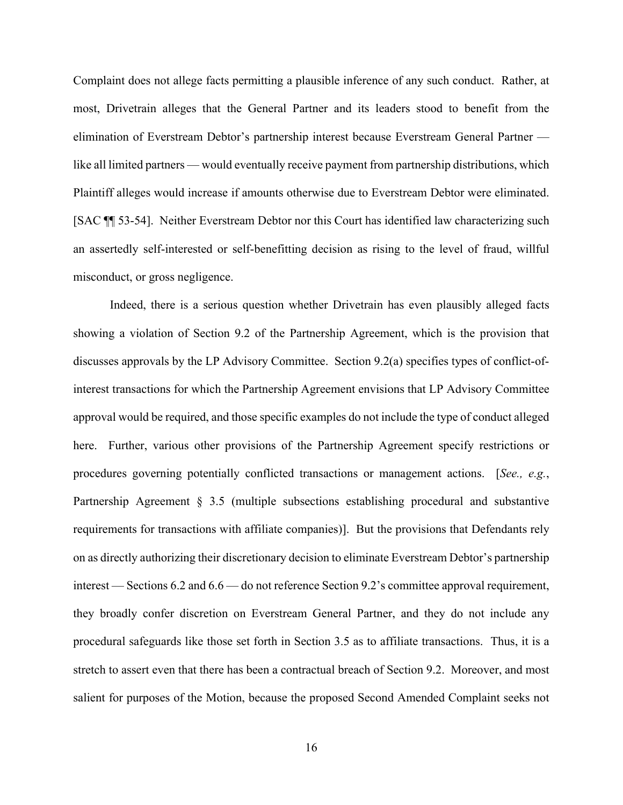Complaint does not allege facts permitting a plausible inference of any such conduct. Rather, at most, Drivetrain alleges that the General Partner and its leaders stood to benefit from the elimination of Everstream Debtor's partnership interest because Everstream General Partner like all limited partners — would eventually receive payment from partnership distributions, which Plaintiff alleges would increase if amounts otherwise due to Everstream Debtor were eliminated. [SAC ¶¶ 53-54]. Neither Everstream Debtor nor this Court has identified law characterizing such an assertedly self-interested or self-benefitting decision as rising to the level of fraud, willful misconduct, or gross negligence.

Indeed, there is a serious question whether Drivetrain has even plausibly alleged facts showing a violation of Section 9.2 of the Partnership Agreement, which is the provision that discusses approvals by the LP Advisory Committee. Section 9.2(a) specifies types of conflict-ofinterest transactions for which the Partnership Agreement envisions that LP Advisory Committee approval would be required, and those specific examples do not include the type of conduct alleged here. Further, various other provisions of the Partnership Agreement specify restrictions or procedures governing potentially conflicted transactions or management actions. [*See., e.g.*, Partnership Agreement § 3.5 (multiple subsections establishing procedural and substantive requirements for transactions with affiliate companies)]. But the provisions that Defendants rely on as directly authorizing their discretionary decision to eliminate Everstream Debtor's partnership interest — Sections 6.2 and 6.6 — do not reference Section 9.2's committee approval requirement, they broadly confer discretion on Everstream General Partner, and they do not include any procedural safeguards like those set forth in Section 3.5 as to affiliate transactions. Thus, it is a stretch to assert even that there has been a contractual breach of Section 9.2. Moreover, and most salient for purposes of the Motion, because the proposed Second Amended Complaint seeks not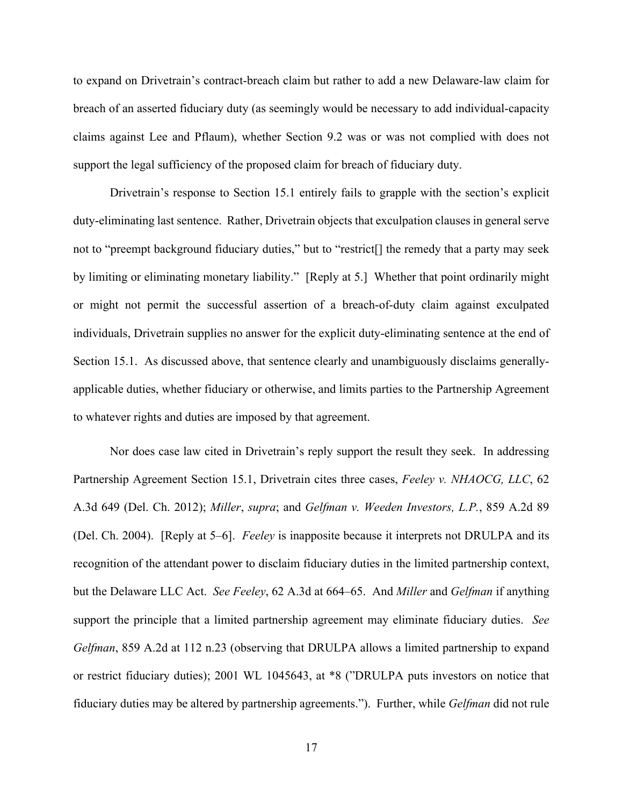to expand on Drivetrain's contract-breach claim but rather to add a new Delaware-law claim for breach of an asserted fiduciary duty (as seemingly would be necessary to add individual-capacity claims against Lee and Pflaum), whether Section 9.2 was or was not complied with does not support the legal sufficiency of the proposed claim for breach of fiduciary duty.

 Drivetrain's response to Section 15.1 entirely fails to grapple with the section's explicit duty-eliminating last sentence. Rather, Drivetrain objects that exculpation clauses in general serve not to "preempt background fiduciary duties," but to "restrict[] the remedy that a party may seek by limiting or eliminating monetary liability." [Reply at 5.] Whether that point ordinarily might or might not permit the successful assertion of a breach-of-duty claim against exculpated individuals, Drivetrain supplies no answer for the explicit duty-eliminating sentence at the end of Section 15.1. As discussed above, that sentence clearly and unambiguously disclaims generallyapplicable duties, whether fiduciary or otherwise, and limits parties to the Partnership Agreement to whatever rights and duties are imposed by that agreement.

Nor does case law cited in Drivetrain's reply support the result they seek. In addressing Partnership Agreement Section 15.1, Drivetrain cites three cases, *Feeley v. NHAOCG, LLC*, 62 A.3d 649 (Del. Ch. 2012); *Miller*, *supra*; and *Gelfman v. Weeden Investors, L.P.*, 859 A.2d 89 (Del. Ch. 2004). [Reply at 5–6]. *Feeley* is inapposite because it interprets not DRULPA and its recognition of the attendant power to disclaim fiduciary duties in the limited partnership context, but the Delaware LLC Act. *See Feeley*, 62 A.3d at 664–65. And *Miller* and *Gelfman* if anything support the principle that a limited partnership agreement may eliminate fiduciary duties. *See Gelfman*, 859 A.2d at 112 n.23 (observing that DRULPA allows a limited partnership to expand or restrict fiduciary duties); 2001 WL 1045643, at \*8 ("DRULPA puts investors on notice that fiduciary duties may be altered by partnership agreements."). Further, while *Gelfman* did not rule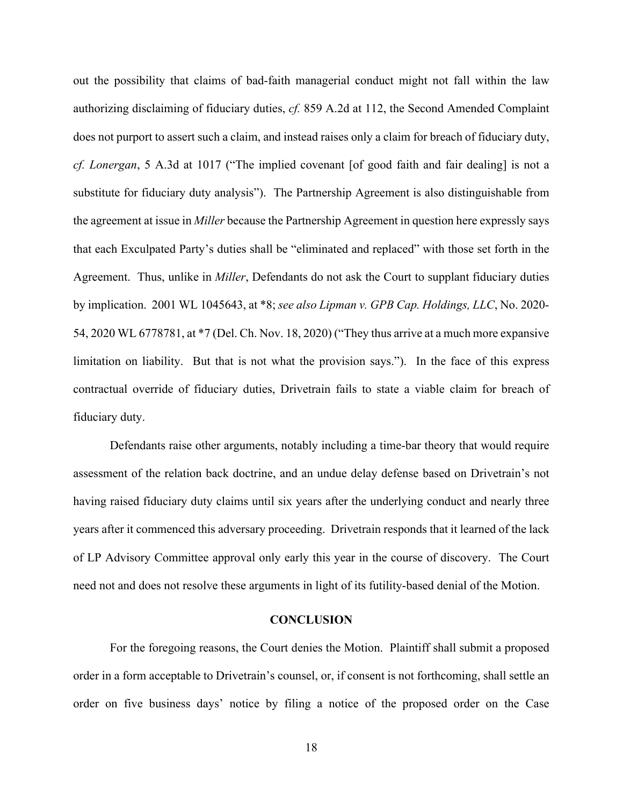out the possibility that claims of bad-faith managerial conduct might not fall within the law authorizing disclaiming of fiduciary duties, *cf.* 859 A.2d at 112, the Second Amended Complaint does not purport to assert such a claim, and instead raises only a claim for breach of fiduciary duty, *cf. Lonergan*, 5 A.3d at 1017 ("The implied covenant [of good faith and fair dealing] is not a substitute for fiduciary duty analysis"). The Partnership Agreement is also distinguishable from the agreement at issue in *Miller* because the Partnership Agreement in question here expressly says that each Exculpated Party's duties shall be "eliminated and replaced" with those set forth in the Agreement. Thus, unlike in *Miller*, Defendants do not ask the Court to supplant fiduciary duties by implication. 2001 WL 1045643, at \*8; *see also Lipman v. GPB Cap. Holdings, LLC*, No. 2020- 54, 2020 WL 6778781, at \*7 (Del. Ch. Nov. 18, 2020) ("They thus arrive at a much more expansive limitation on liability. But that is not what the provision says."). In the face of this express contractual override of fiduciary duties, Drivetrain fails to state a viable claim for breach of fiduciary duty.

Defendants raise other arguments, notably including a time-bar theory that would require assessment of the relation back doctrine, and an undue delay defense based on Drivetrain's not having raised fiduciary duty claims until six years after the underlying conduct and nearly three years after it commenced this adversary proceeding. Drivetrain responds that it learned of the lack of LP Advisory Committee approval only early this year in the course of discovery. The Court need not and does not resolve these arguments in light of its futility-based denial of the Motion.

#### **CONCLUSION**

 For the foregoing reasons, the Court denies the Motion. Plaintiff shall submit a proposed order in a form acceptable to Drivetrain's counsel, or, if consent is not forthcoming, shall settle an order on five business days' notice by filing a notice of the proposed order on the Case